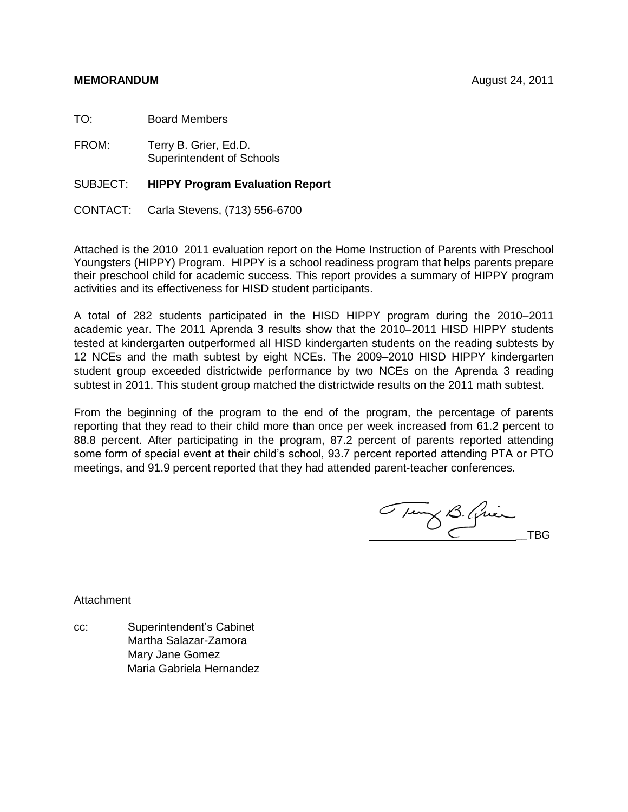## **MEMORANDUM** August 24, 2011

TO: Board Members

FROM: Terry B. Grier, Ed.D. Superintendent of Schools

SUBJECT: **HIPPY Program Evaluation Report**

CONTACT: Carla Stevens, (713) 556-6700

Attached is the 2010–2011 evaluation report on the Home Instruction of Parents with Preschool Youngsters (HIPPY) Program. HIPPY is a school readiness program that helps parents prepare their preschool child for academic success. This report provides a summary of HIPPY program activities and its effectiveness for HISD student participants.

A total of 282 students participated in the HISD HIPPY program during the 2010-2011 academic year. The 2011 Aprenda 3 results show that the 2010–2011 HISD HIPPY students tested at kindergarten outperformed all HISD kindergarten students on the reading subtests by 12 NCEs and the math subtest by eight NCEs. The 2009–2010 HISD HIPPY kindergarten student group exceeded districtwide performance by two NCEs on the Aprenda 3 reading subtest in 2011. This student group matched the districtwide results on the 2011 math subtest.

From the beginning of the program to the end of the program, the percentage of parents reporting that they read to their child more than once per week increased from 61.2 percent to 88.8 percent. After participating in the program, 87.2 percent of parents reported attending some form of special event at their child's school, 93.7 percent reported attending PTA or PTO meetings, and 91.9 percent reported that they had attended parent-teacher conferences.

Tung B. Quin

Attachment

cc: Superintendent's Cabinet Martha Salazar-Zamora Mary Jane Gomez Maria Gabriela Hernandez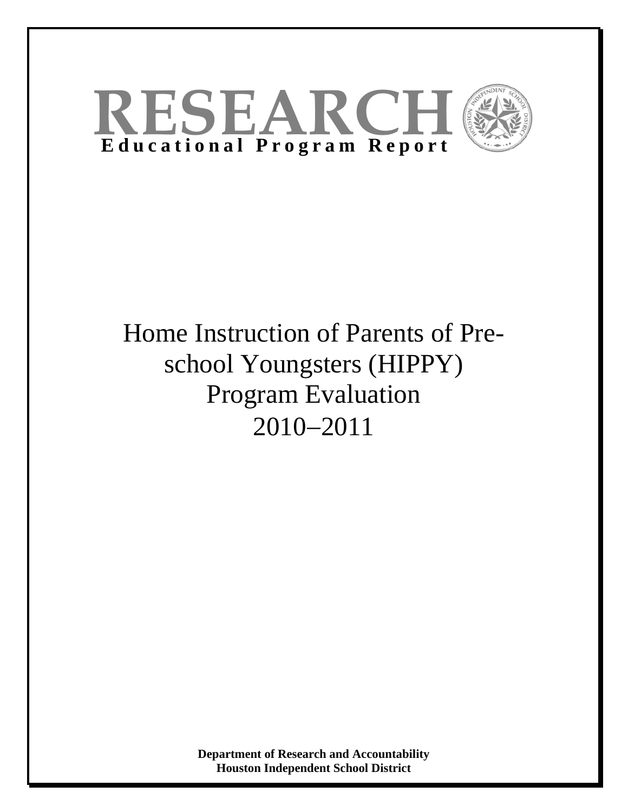

# Home Instruction of Parents of Preschool Youngsters (HIPPY) Program Evaluation 2010−2011

**Department of Research and Accountability Houston Independent School District**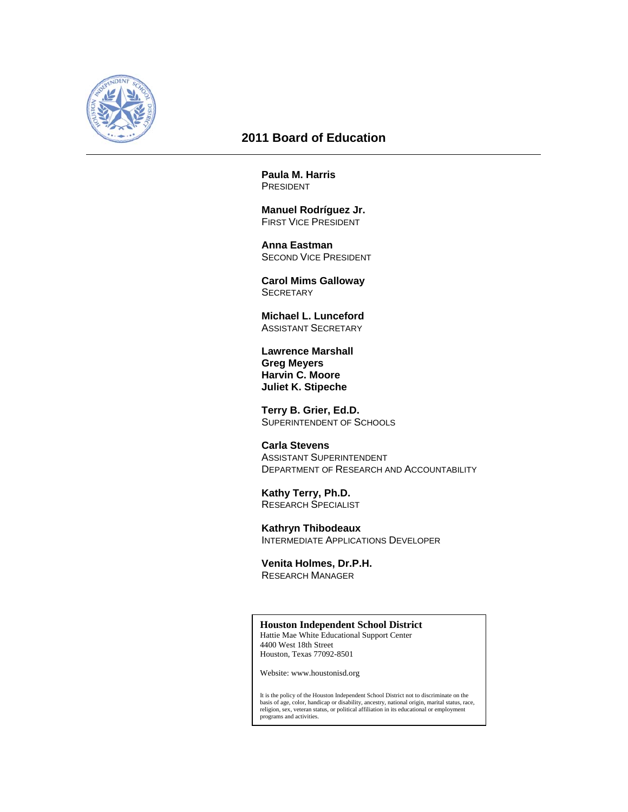

# **2011 Board of Education**

**Paula M. Harris**  PRESIDENT

 **Manuel Rodríguez Jr.**  FIRST VICE PRESIDENT

 **Anna Eastman**  SECOND VICE PRESIDENT

 **Carol Mims Galloway SECRETARY** 

 **Michael L. Lunceford**  ASSISTANT SECRETARY

 **Lawrence Marshall Greg Meyers Harvin C. Moore Juliet K. Stipeche** 

 **Terry B. Grier, Ed.D.**  SUPERINTENDENT OF SCHOOLS

 **Carla Stevens**  ASSISTANT SUPERINTENDENT DEPARTMENT OF RESEARCH AND ACCOUNTABILITY

 **Kathy Terry, Ph.D.**  RESEARCH SPECIALIST

 **Kathryn Thibodeaux**  INTERMEDIATE APPLICATIONS DEVELOPER

 **Venita Holmes, Dr.P.H.**  RESEARCH MANAGER

#### **Houston Independent School District**

Hattie Mae White Educational Support Center 4400 West 18th Street Houston, Texas 77092-8501

Website: www.houstonisd.org

It is the policy of the Houston Independent School District not to discriminate on the basis of age, color, handicap or disability, ancestry, national origin, marital status, race, religion, sex, veteran status, or political affiliation in its educational or employment programs and activities.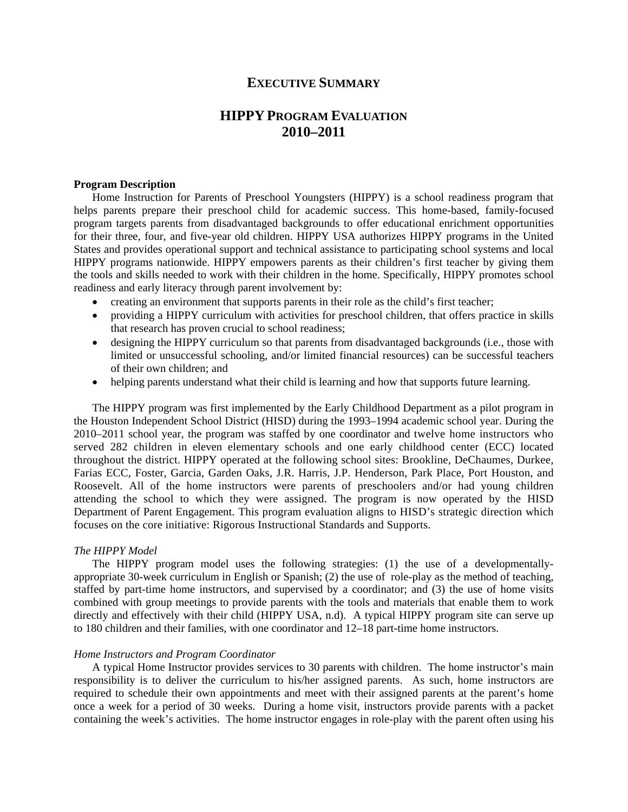# **EXECUTIVE SUMMARY**

# **HIPPY PROGRAM EVALUATION 2010–2011**

#### **Program Description**

Home Instruction for Parents of Preschool Youngsters (HIPPY) is a school readiness program that helps parents prepare their preschool child for academic success. This home-based, family-focused program targets parents from disadvantaged backgrounds to offer educational enrichment opportunities for their three, four, and five-year old children. HIPPY USA authorizes HIPPY programs in the United States and provides operational support and technical assistance to participating school systems and local HIPPY programs nationwide. HIPPY empowers parents as their children's first teacher by giving them the tools and skills needed to work with their children in the home. Specifically, HIPPY promotes school readiness and early literacy through parent involvement by:

- creating an environment that supports parents in their role as the child's first teacher;
- providing a HIPPY curriculum with activities for preschool children, that offers practice in skills that research has proven crucial to school readiness;
- designing the HIPPY curriculum so that parents from disadvantaged backgrounds (i.e., those with limited or unsuccessful schooling, and/or limited financial resources) can be successful teachers of their own children; and
- helping parents understand what their child is learning and how that supports future learning.

The HIPPY program was first implemented by the Early Childhood Department as a pilot program in the Houston Independent School District (HISD) during the 1993–1994 academic school year. During the 2010–2011 school year, the program was staffed by one coordinator and twelve home instructors who served 282 children in eleven elementary schools and one early childhood center (ECC) located throughout the district. HIPPY operated at the following school sites: Brookline, DeChaumes, Durkee, Farias ECC, Foster, Garcia, Garden Oaks, J.R. Harris, J.P. Henderson, Park Place, Port Houston, and Roosevelt. All of the home instructors were parents of preschoolers and/or had young children attending the school to which they were assigned. The program is now operated by the HISD Department of Parent Engagement. This program evaluation aligns to HISD's strategic direction which focuses on the core initiative: Rigorous Instructional Standards and Supports.

#### *The HIPPY Model*

The HIPPY program model uses the following strategies: (1) the use of a developmentallyappropriate 30-week curriculum in English or Spanish; (2) the use of role-play as the method of teaching, staffed by part-time home instructors, and supervised by a coordinator; and (3) the use of home visits combined with group meetings to provide parents with the tools and materials that enable them to work directly and effectively with their child (HIPPY USA, n.d). A typical HIPPY program site can serve up to 180 children and their families, with one coordinator and 12–18 part-time home instructors.

#### *Home Instructors and Program Coordinator*

A typical Home Instructor provides services to 30 parents with children. The home instructor's main responsibility is to deliver the curriculum to his/her assigned parents. As such, home instructors are required to schedule their own appointments and meet with their assigned parents at the parent's home once a week for a period of 30 weeks. During a home visit, instructors provide parents with a packet containing the week's activities. The home instructor engages in role-play with the parent often using his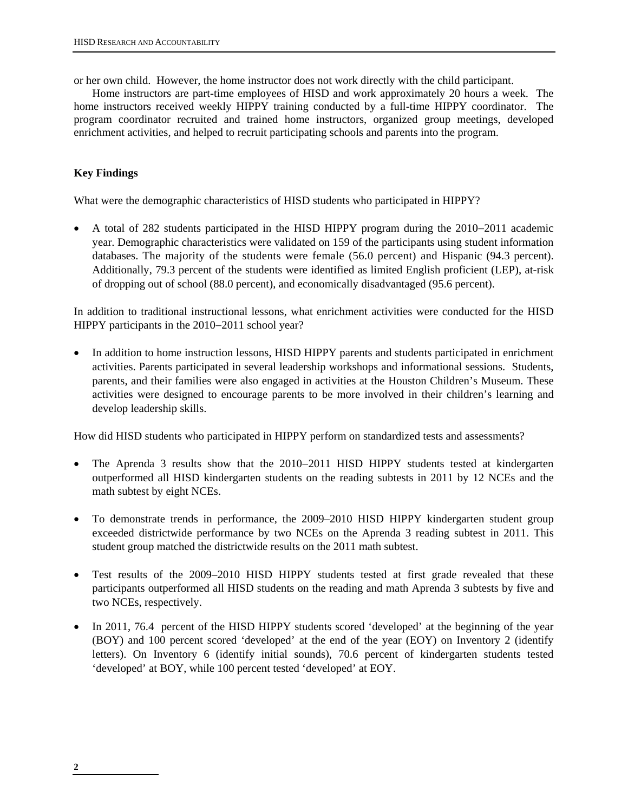or her own child. However, the home instructor does not work directly with the child participant.

Home instructors are part-time employees of HISD and work approximately 20 hours a week. The home instructors received weekly HIPPY training conducted by a full-time HIPPY coordinator. The program coordinator recruited and trained home instructors, organized group meetings, developed enrichment activities, and helped to recruit participating schools and parents into the program.

# **Key Findings**

What were the demographic characteristics of HISD students who participated in HIPPY?

• A total of 282 students participated in the HISD HIPPY program during the 2010−2011 academic year. Demographic characteristics were validated on 159 of the participants using student information databases. The majority of the students were female (56.0 percent) and Hispanic (94.3 percent). Additionally, 79.3 percent of the students were identified as limited English proficient (LEP), at-risk of dropping out of school (88.0 percent), and economically disadvantaged (95.6 percent).

In addition to traditional instructional lessons, what enrichment activities were conducted for the HISD HIPPY participants in the 2010–2011 school year?

• In addition to home instruction lessons, HISD HIPPY parents and students participated in enrichment activities. Parents participated in several leadership workshops and informational sessions. Students, parents, and their families were also engaged in activities at the Houston Children's Museum. These activities were designed to encourage parents to be more involved in their children's learning and develop leadership skills.

How did HISD students who participated in HIPPY perform on standardized tests and assessments?

- The Aprenda 3 results show that the 2010−2011 HISD HIPPY students tested at kindergarten outperformed all HISD kindergarten students on the reading subtests in 2011 by 12 NCEs and the math subtest by eight NCEs.
- To demonstrate trends in performance, the 2009–2010 HISD HIPPY kindergarten student group exceeded districtwide performance by two NCEs on the Aprenda 3 reading subtest in 2011. This student group matched the districtwide results on the 2011 math subtest.
- Test results of the 2009–2010 HISD HIPPY students tested at first grade revealed that these participants outperformed all HISD students on the reading and math Aprenda 3 subtests by five and two NCEs, respectively.
- In 2011, 76.4 percent of the HISD HIPPY students scored 'developed' at the beginning of the year (BOY) and 100 percent scored 'developed' at the end of the year (EOY) on Inventory 2 (identify letters). On Inventory 6 (identify initial sounds), 70.6 percent of kindergarten students tested 'developed' at BOY, while 100 percent tested 'developed' at EOY.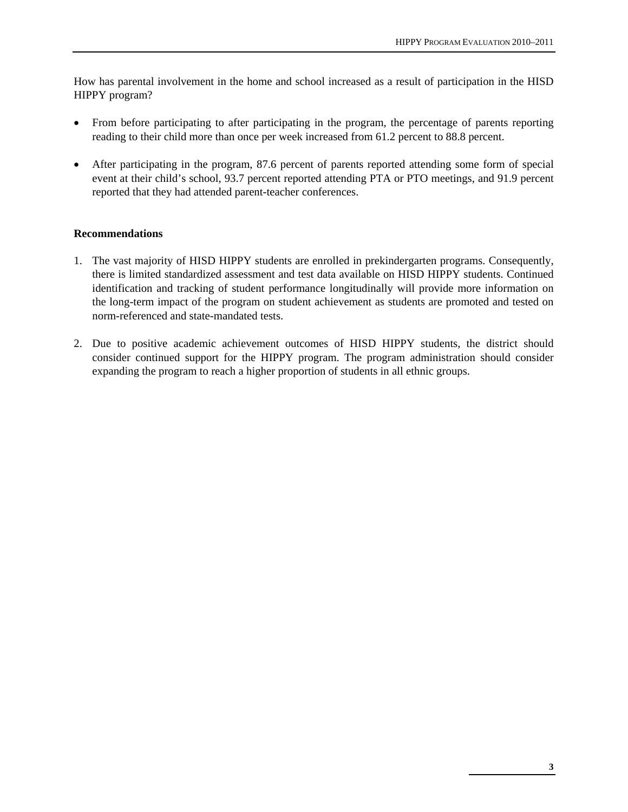How has parental involvement in the home and school increased as a result of participation in the HISD HIPPY program?

- From before participating to after participating in the program, the percentage of parents reporting reading to their child more than once per week increased from 61.2 percent to 88.8 percent.
- After participating in the program, 87.6 percent of parents reported attending some form of special event at their child's school, 93.7 percent reported attending PTA or PTO meetings, and 91.9 percent reported that they had attended parent-teacher conferences.

# **Recommendations**

- 1. The vast majority of HISD HIPPY students are enrolled in prekindergarten programs. Consequently, there is limited standardized assessment and test data available on HISD HIPPY students. Continued identification and tracking of student performance longitudinally will provide more information on the long-term impact of the program on student achievement as students are promoted and tested on norm-referenced and state-mandated tests.
- 2. Due to positive academic achievement outcomes of HISD HIPPY students, the district should consider continued support for the HIPPY program. The program administration should consider expanding the program to reach a higher proportion of students in all ethnic groups.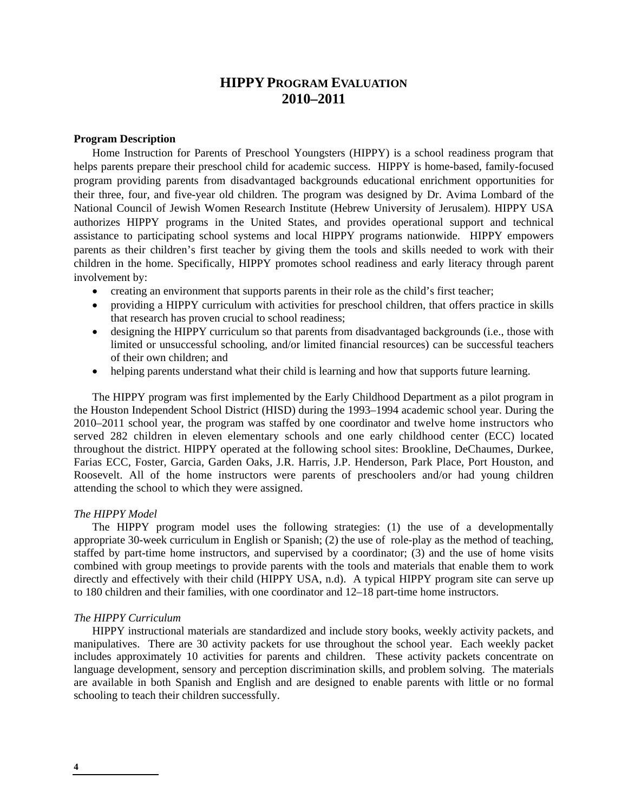# **HIPPY PROGRAM EVALUATION 2010–2011**

#### **Program Description**

Home Instruction for Parents of Preschool Youngsters (HIPPY) is a school readiness program that helps parents prepare their preschool child for academic success. HIPPY is home-based, family-focused program providing parents from disadvantaged backgrounds educational enrichment opportunities for their three, four, and five-year old children. The program was designed by Dr. Avima Lombard of the National Council of Jewish Women Research Institute (Hebrew University of Jerusalem). HIPPY USA authorizes HIPPY programs in the United States, and provides operational support and technical assistance to participating school systems and local HIPPY programs nationwide. HIPPY empowers parents as their children's first teacher by giving them the tools and skills needed to work with their children in the home. Specifically, HIPPY promotes school readiness and early literacy through parent involvement by:

- creating an environment that supports parents in their role as the child's first teacher;
- providing a HIPPY curriculum with activities for preschool children, that offers practice in skills that research has proven crucial to school readiness;
- designing the HIPPY curriculum so that parents from disadvantaged backgrounds (i.e., those with limited or unsuccessful schooling, and/or limited financial resources) can be successful teachers of their own children; and
- helping parents understand what their child is learning and how that supports future learning.

The HIPPY program was first implemented by the Early Childhood Department as a pilot program in the Houston Independent School District (HISD) during the 1993–1994 academic school year. During the 2010–2011 school year, the program was staffed by one coordinator and twelve home instructors who served 282 children in eleven elementary schools and one early childhood center (ECC) located throughout the district. HIPPY operated at the following school sites: Brookline, DeChaumes, Durkee, Farias ECC, Foster, Garcia, Garden Oaks, J.R. Harris, J.P. Henderson, Park Place, Port Houston, and Roosevelt. All of the home instructors were parents of preschoolers and/or had young children attending the school to which they were assigned.

## *The HIPPY Model*

The HIPPY program model uses the following strategies: (1) the use of a developmentally appropriate 30-week curriculum in English or Spanish; (2) the use of role-play as the method of teaching, staffed by part-time home instructors, and supervised by a coordinator; (3) and the use of home visits combined with group meetings to provide parents with the tools and materials that enable them to work directly and effectively with their child (HIPPY USA, n.d). A typical HIPPY program site can serve up to 180 children and their families, with one coordinator and 12–18 part-time home instructors.

#### *The HIPPY Curriculum*

 HIPPY instructional materials are standardized and include story books, weekly activity packets, and manipulatives. There are 30 activity packets for use throughout the school year. Each weekly packet includes approximately 10 activities for parents and children. These activity packets concentrate on language development, sensory and perception discrimination skills, and problem solving. The materials are available in both Spanish and English and are designed to enable parents with little or no formal schooling to teach their children successfully.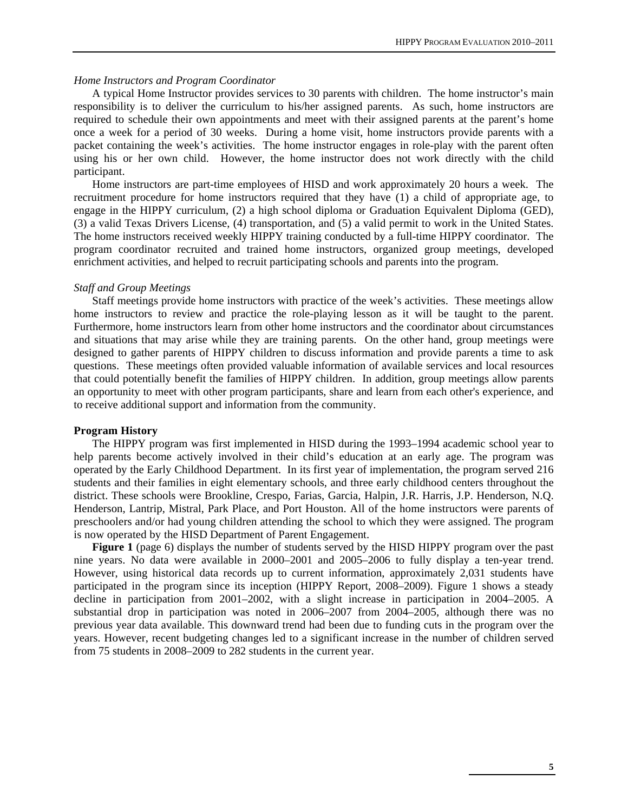#### *Home Instructors and Program Coordinator*

A typical Home Instructor provides services to 30 parents with children. The home instructor's main responsibility is to deliver the curriculum to his/her assigned parents. As such, home instructors are required to schedule their own appointments and meet with their assigned parents at the parent's home once a week for a period of 30 weeks. During a home visit, home instructors provide parents with a packet containing the week's activities. The home instructor engages in role-play with the parent often using his or her own child. However, the home instructor does not work directly with the child participant.

Home instructors are part-time employees of HISD and work approximately 20 hours a week. The recruitment procedure for home instructors required that they have (1) a child of appropriate age, to engage in the HIPPY curriculum, (2) a high school diploma or Graduation Equivalent Diploma (GED), (3) a valid Texas Drivers License, (4) transportation, and (5) a valid permit to work in the United States. The home instructors received weekly HIPPY training conducted by a full-time HIPPY coordinator. The program coordinator recruited and trained home instructors, organized group meetings, developed enrichment activities, and helped to recruit participating schools and parents into the program.

#### *Staff and Group Meetings*

Staff meetings provide home instructors with practice of the week's activities. These meetings allow home instructors to review and practice the role-playing lesson as it will be taught to the parent. Furthermore, home instructors learn from other home instructors and the coordinator about circumstances and situations that may arise while they are training parents. On the other hand, group meetings were designed to gather parents of HIPPY children to discuss information and provide parents a time to ask questions. These meetings often provided valuable information of available services and local resources that could potentially benefit the families of HIPPY children. In addition, group meetings allow parents an opportunity to meet with other program participants, share and learn from each other's experience, and to receive additional support and information from the community.

#### **Program History**

The HIPPY program was first implemented in HISD during the 1993–1994 academic school year to help parents become actively involved in their child's education at an early age. The program was operated by the Early Childhood Department. In its first year of implementation, the program served 216 students and their families in eight elementary schools, and three early childhood centers throughout the district. These schools were Brookline, Crespo, Farias, Garcia, Halpin, J.R. Harris, J.P. Henderson, N.Q. Henderson, Lantrip, Mistral, Park Place, and Port Houston. All of the home instructors were parents of preschoolers and/or had young children attending the school to which they were assigned. The program is now operated by the HISD Department of Parent Engagement.

**Figure 1** (page 6) displays the number of students served by the HISD HIPPY program over the past nine years. No data were available in 2000–2001 and 2005–2006 to fully display a ten-year trend. However, using historical data records up to current information, approximately 2,031 students have participated in the program since its inception (HIPPY Report, 2008–2009). Figure 1 shows a steady decline in participation from 2001–2002, with a slight increase in participation in 2004–2005. A substantial drop in participation was noted in 2006–2007 from 2004–2005, although there was no previous year data available. This downward trend had been due to funding cuts in the program over the years. However, recent budgeting changes led to a significant increase in the number of children served from 75 students in 2008–2009 to 282 students in the current year.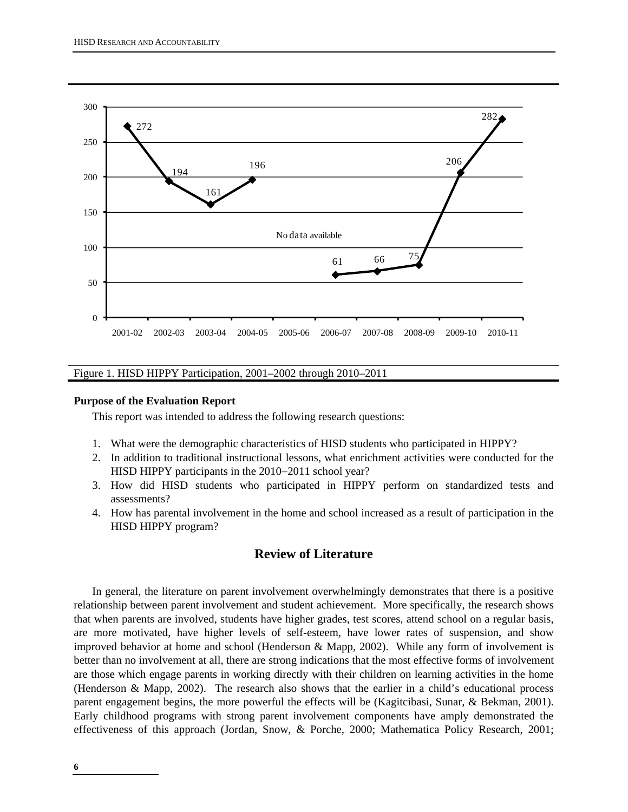

Figure 1. HISD HIPPY Participation, 2001–2002 through 2010–2011

#### **Purpose of the Evaluation Report**

This report was intended to address the following research questions:

- 1. What were the demographic characteristics of HISD students who participated in HIPPY?
- 2. In addition to traditional instructional lessons, what enrichment activities were conducted for the HISD HIPPY participants in the 2010–2011 school year?
- 3. How did HISD students who participated in HIPPY perform on standardized tests and assessments?
- 4. How has parental involvement in the home and school increased as a result of participation in the HISD HIPPY program?

# **Review of Literature**

In general, the literature on parent involvement overwhelmingly demonstrates that there is a positive relationship between parent involvement and student achievement. More specifically, the research shows that when parents are involved, students have higher grades, test scores, attend school on a regular basis, are more motivated, have higher levels of self-esteem, have lower rates of suspension, and show improved behavior at home and school (Henderson & Mapp, 2002). While any form of involvement is better than no involvement at all, there are strong indications that the most effective forms of involvement are those which engage parents in working directly with their children on learning activities in the home (Henderson & Mapp, 2002). The research also shows that the earlier in a child's educational process parent engagement begins, the more powerful the effects will be (Kagitcibasi, Sunar, & Bekman, 2001). Early childhood programs with strong parent involvement components have amply demonstrated the effectiveness of this approach (Jordan, Snow, & Porche, 2000; Mathematica Policy Research, 2001;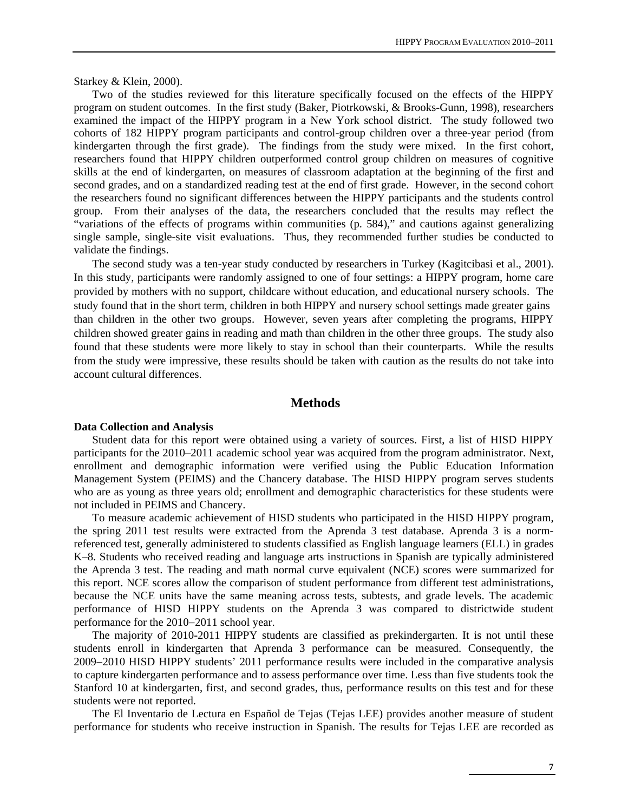Starkey & Klein, 2000).

Two of the studies reviewed for this literature specifically focused on the effects of the HIPPY program on student outcomes. In the first study (Baker, Piotrkowski, & Brooks-Gunn, 1998), researchers examined the impact of the HIPPY program in a New York school district. The study followed two cohorts of 182 HIPPY program participants and control-group children over a three-year period (from kindergarten through the first grade). The findings from the study were mixed. In the first cohort, researchers found that HIPPY children outperformed control group children on measures of cognitive skills at the end of kindergarten, on measures of classroom adaptation at the beginning of the first and second grades, and on a standardized reading test at the end of first grade. However, in the second cohort the researchers found no significant differences between the HIPPY participants and the students control group. From their analyses of the data, the researchers concluded that the results may reflect the "variations of the effects of programs within communities (p. 584)," and cautions against generalizing single sample, single-site visit evaluations. Thus, they recommended further studies be conducted to validate the findings.

The second study was a ten-year study conducted by researchers in Turkey (Kagitcibasi et al., 2001). In this study, participants were randomly assigned to one of four settings: a HIPPY program, home care provided by mothers with no support, childcare without education, and educational nursery schools. The study found that in the short term, children in both HIPPY and nursery school settings made greater gains than children in the other two groups. However, seven years after completing the programs, HIPPY children showed greater gains in reading and math than children in the other three groups. The study also found that these students were more likely to stay in school than their counterparts. While the results from the study were impressive, these results should be taken with caution as the results do not take into account cultural differences.

# **Methods**

#### **Data Collection and Analysis**

Student data for this report were obtained using a variety of sources. First, a list of HISD HIPPY participants for the 2010–2011 academic school year was acquired from the program administrator. Next, enrollment and demographic information were verified using the Public Education Information Management System (PEIMS) and the Chancery database. The HISD HIPPY program serves students who are as young as three years old; enrollment and demographic characteristics for these students were not included in PEIMS and Chancery.

To measure academic achievement of HISD students who participated in the HISD HIPPY program, the spring 2011 test results were extracted from the Aprenda 3 test database. Aprenda 3 is a normreferenced test, generally administered to students classified as English language learners (ELL) in grades K–8. Students who received reading and language arts instructions in Spanish are typically administered the Aprenda 3 test. The reading and math normal curve equivalent (NCE) scores were summarized for this report. NCE scores allow the comparison of student performance from different test administrations, because the NCE units have the same meaning across tests, subtests, and grade levels. The academic performance of HISD HIPPY students on the Aprenda 3 was compared to districtwide student performance for the 2010−2011 school year.

The majority of 2010-2011 HIPPY students are classified as prekindergarten. It is not until these students enroll in kindergarten that Aprenda 3 performance can be measured. Consequently, the 2009−2010 HISD HIPPY students' 2011 performance results were included in the comparative analysis to capture kindergarten performance and to assess performance over time. Less than five students took the Stanford 10 at kindergarten, first, and second grades, thus, performance results on this test and for these students were not reported.

The El Inventario de Lectura en Español de Tejas (Tejas LEE) provides another measure of student performance for students who receive instruction in Spanish. The results for Tejas LEE are recorded as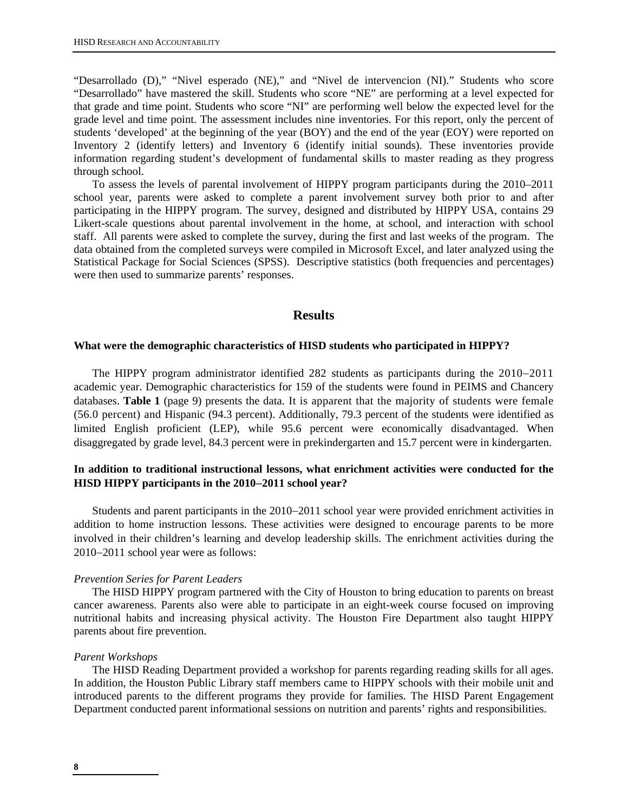"Desarrollado (D)," "Nivel esperado (NE)," and "Nivel de intervencion (NI)." Students who score "Desarrollado" have mastered the skill. Students who score "NE" are performing at a level expected for that grade and time point. Students who score "NI" are performing well below the expected level for the grade level and time point. The assessment includes nine inventories. For this report, only the percent of students 'developed' at the beginning of the year (BOY) and the end of the year (EOY) were reported on Inventory 2 (identify letters) and Inventory 6 (identify initial sounds). These inventories provide information regarding student's development of fundamental skills to master reading as they progress through school.

To assess the levels of parental involvement of HIPPY program participants during the 2010–2011 school year, parents were asked to complete a parent involvement survey both prior to and after participating in the HIPPY program. The survey, designed and distributed by HIPPY USA, contains 29 Likert-scale questions about parental involvement in the home, at school, and interaction with school staff. All parents were asked to complete the survey, during the first and last weeks of the program. The data obtained from the completed surveys were compiled in Microsoft Excel, and later analyzed using the Statistical Package for Social Sciences (SPSS). Descriptive statistics (both frequencies and percentages) were then used to summarize parents' responses.

# **Results**

#### **What were the demographic characteristics of HISD students who participated in HIPPY?**

The HIPPY program administrator identified 282 students as participants during the 2010−2011 academic year. Demographic characteristics for 159 of the students were found in PEIMS and Chancery databases. **Table 1** (page 9) presents the data. It is apparent that the majority of students were female (56.0 percent) and Hispanic (94.3 percent). Additionally, 79.3 percent of the students were identified as limited English proficient (LEP), while 95.6 percent were economically disadvantaged. When disaggregated by grade level, 84.3 percent were in prekindergarten and 15.7 percent were in kindergarten.

# **In addition to traditional instructional lessons, what enrichment activities were conducted for the HISD HIPPY participants in the 2010**−**2011 school year?**

Students and parent participants in the 2010−2011 school year were provided enrichment activities in addition to home instruction lessons. These activities were designed to encourage parents to be more involved in their children's learning and develop leadership skills. The enrichment activities during the 2010−2011 school year were as follows:

#### *Prevention Series for Parent Leaders*

The HISD HIPPY program partnered with the City of Houston to bring education to parents on breast cancer awareness. Parents also were able to participate in an eight-week course focused on improving nutritional habits and increasing physical activity. The Houston Fire Department also taught HIPPY parents about fire prevention.

#### *Parent Workshops*

The HISD Reading Department provided a workshop for parents regarding reading skills for all ages. In addition, the Houston Public Library staff members came to HIPPY schools with their mobile unit and introduced parents to the different programs they provide for families. The HISD Parent Engagement Department conducted parent informational sessions on nutrition and parents' rights and responsibilities.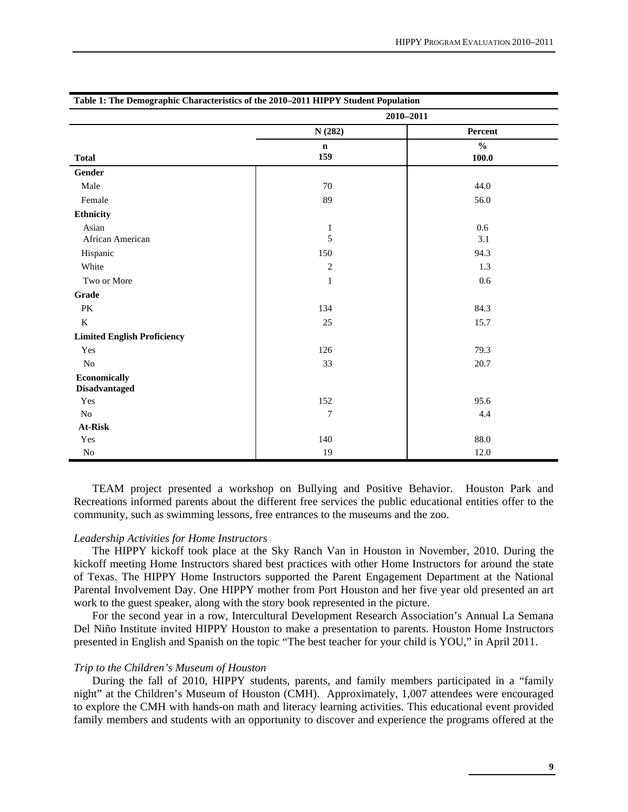| Table 1. The Demographic Characteristics of the 2010–2011 IIII 1 1 Student I optifation |                |               |  |  |  |
|-----------------------------------------------------------------------------------------|----------------|---------------|--|--|--|
|                                                                                         | $2010 - 2011$  |               |  |  |  |
|                                                                                         | N(282)         | Percent       |  |  |  |
|                                                                                         | $\mathbf n$    | $\frac{0}{0}$ |  |  |  |
| <b>Total</b>                                                                            | 159            | 100.0         |  |  |  |
| Gender                                                                                  |                |               |  |  |  |
| Male                                                                                    | 70             | 44.0          |  |  |  |
| Female                                                                                  | 89             | 56.0          |  |  |  |
| Ethnicity                                                                               |                |               |  |  |  |
| Asian                                                                                   | $\mathbf{1}$   | 0.6           |  |  |  |
| African American                                                                        | 5              | 3.1           |  |  |  |
| Hispanic                                                                                | 150            | 94.3          |  |  |  |
| White                                                                                   | $\overline{2}$ | 1.3           |  |  |  |
| Two or More                                                                             | $\mathbf{1}$   | 0.6           |  |  |  |
| Grade                                                                                   |                |               |  |  |  |
| PK                                                                                      | 134            | 84.3          |  |  |  |
| $\bf K$                                                                                 | 25             | 15.7          |  |  |  |
| <b>Limited English Proficiency</b>                                                      |                |               |  |  |  |
| Yes                                                                                     | 126            | 79.3          |  |  |  |
| No                                                                                      | 33             | 20.7          |  |  |  |
| Economically                                                                            |                |               |  |  |  |
| <b>Disadvantaged</b>                                                                    |                |               |  |  |  |
| Yes                                                                                     | 152            | 95.6          |  |  |  |
| No                                                                                      | $\tau$         | 4.4           |  |  |  |
| At-Risk                                                                                 |                |               |  |  |  |
| Yes                                                                                     | 140            | 88.0          |  |  |  |
| $\rm No$                                                                                | 19             | 12.0          |  |  |  |

**Table 1: The Demographic Characteristics of the 2010–2011 HIPPY Student Population** 

TEAM project presented a workshop on Bullying and Positive Behavior. Houston Park and Recreations informed parents about the different free services the public educational entities offer to the community, such as swimming lessons, free entrances to the museums and the zoo.

#### *Leadership Activities for Home Instructors*

The HIPPY kickoff took place at the Sky Ranch Van in Houston in November, 2010. During the kickoff meeting Home Instructors shared best practices with other Home Instructors for around the state of Texas. The HIPPY Home Instructors supported the Parent Engagement Department at the National Parental Involvement Day. One HIPPY mother from Port Houston and her five year old presented an art work to the guest speaker, along with the story book represented in the picture.

For the second year in a row, Intercultural Development Research Association's Annual La Semana Del Niño Institute invited HIPPY Houston to make a presentation to parents. Houston Home Instructors presented in English and Spanish on the topic "The best teacher for your child is YOU," in April 2011.

#### *Trip to the Children's Museum of Houston*

During the fall of 2010, HIPPY students, parents, and family members participated in a "family night" at the Children's Museum of Houston (CMH). Approximately, 1,007 attendees were encouraged to explore the CMH with hands-on math and literacy learning activities. This educational event provided family members and students with an opportunity to discover and experience the programs offered at the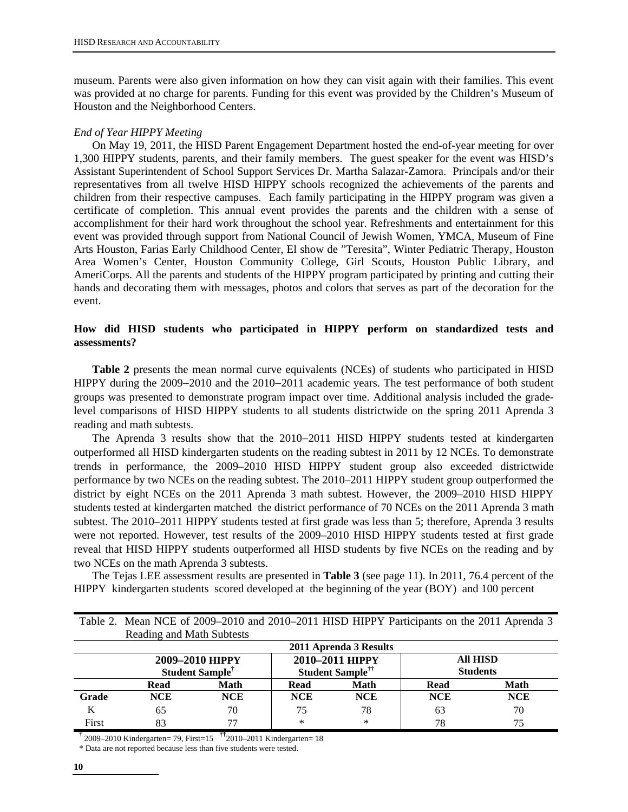museum. Parents were also given information on how they can visit again with their families. This event was provided at no charge for parents. Funding for this event was provided by the Children's Museum of Houston and the Neighborhood Centers.

## *End of Year HIPPY Meeting*

On May 19, 2011, the HISD Parent Engagement Department hosted the end-of-year meeting for over 1,300 HIPPY students, parents, and their family members. The guest speaker for the event was HISD's Assistant Superintendent of School Support Services Dr. Martha Salazar-Zamora. Principals and/or their representatives from all twelve HISD HIPPY schools recognized the achievements of the parents and children from their respective campuses. Each family participating in the HIPPY program was given a certificate of completion. This annual event provides the parents and the children with a sense of accomplishment for their hard work throughout the school year. Refreshments and entertainment for this event was provided through support from National Council of Jewish Women, YMCA, Museum of Fine Arts Houston, Farias Early Childhood Center, El show de "Teresita", Winter Pediatric Therapy, Houston Area Women's Center, Houston Community College, Girl Scouts, Houston Public Library, and AmeriCorps. All the parents and students of the HIPPY program participated by printing and cutting their hands and decorating them with messages, photos and colors that serves as part of the decoration for the event.

# **How did HISD students who participated in HIPPY perform on standardized tests and assessments?**

**Table 2** presents the mean normal curve equivalents (NCEs) of students who participated in HISD HIPPY during the 2009−2010 and the 2010−2011 academic years. The test performance of both student groups was presented to demonstrate program impact over time. Additional analysis included the gradelevel comparisons of HISD HIPPY students to all students districtwide on the spring 2011 Aprenda 3 reading and math subtests.

The Aprenda 3 results show that the 2010−2011 HISD HIPPY students tested at kindergarten outperformed all HISD kindergarten students on the reading subtest in 2011 by 12 NCEs. To demonstrate trends in performance, the 2009–2010 HISD HIPPY student group also exceeded districtwide performance by two NCEs on the reading subtest. The 2010–2011 HIPPY student group outperformed the district by eight NCEs on the 2011 Aprenda 3 math subtest. However, the 2009–2010 HISD HIPPY students tested at kindergarten matched the district performance of 70 NCEs on the 2011 Aprenda 3 math subtest. The 2010–2011 HIPPY students tested at first grade was less than 5; therefore, Aprenda 3 results were not reported. However, test results of the 2009–2010 HISD HIPPY students tested at first grade reveal that HISD HIPPY students outperformed all HISD students by five NCEs on the reading and by two NCEs on the math Aprenda 3 subtests.

The Tejas LEE assessment results are presented in **Table 3** (see page 11). In 2011, 76.4 percent of the HIPPY kindergarten students scored developed at the beginning of the year (BOY) and 100 percent

|       | Reading and Math Subtests                      |            |                                                 |                        |                                    |             |
|-------|------------------------------------------------|------------|-------------------------------------------------|------------------------|------------------------------------|-------------|
|       |                                                |            |                                                 | 2011 Aprenda 3 Results |                                    |             |
|       | 2009-2010 HIPPY<br>Student Sample <sup>†</sup> |            | 2010–2011 HIPPY<br>Student Sample <sup>††</sup> |                        | <b>All HISD</b><br><b>Students</b> |             |
|       | Read                                           | Math       | Read                                            | Math                   | Read                               | <b>Math</b> |
| Grade | <b>NCE</b>                                     | <b>NCE</b> | <b>NCE</b>                                      | <b>NCE</b>             | <b>NCE</b>                         | <b>NCE</b>  |
| K     | 65                                             | 70         | 75                                              | 78                     | 63                                 | 70          |
| First |                                                | 77         | ∗                                               | $\ast$                 | 78                                 | 75          |

Table 2. Mean NCE of 2009–2010 and 2010–2011 HISD HIPPY Participants on the 2011 Aprenda 3 Reading and Math Subtests

**†** 2009–2010 Kindergarten= 79, First=15 **††**2010–2011 Kindergarten= 18

\* Data are not reported because less than five students were tested.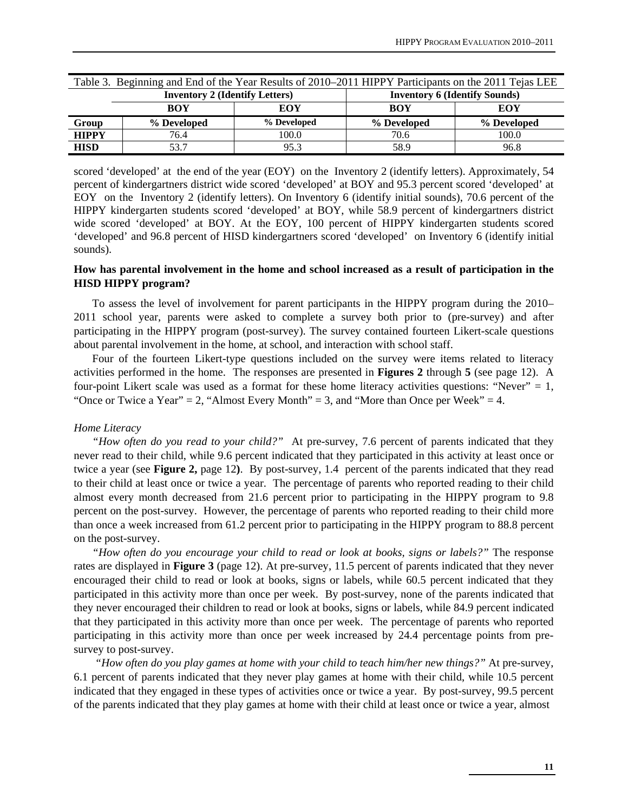| Table 3. Beginning and End of the Year Results of 2010–2011 HIPPY Participants on the 2011 Tejas LEE |                                       |             |                                      |             |  |
|------------------------------------------------------------------------------------------------------|---------------------------------------|-------------|--------------------------------------|-------------|--|
|                                                                                                      | <b>Inventory 2 (Identify Letters)</b> |             | <b>Inventory 6 (Identify Sounds)</b> |             |  |
|                                                                                                      | <b>BOY</b>                            | EOY         | <b>BOY</b>                           | EOY         |  |
| Group                                                                                                | % Developed                           | % Developed | % Developed                          | % Developed |  |
| <b>HIPPY</b>                                                                                         | 76.4                                  | 100.0       | 70.6                                 | 100.0       |  |
| <b>HISD</b>                                                                                          | 53.7                                  | 95.3        | 58.9                                 | 96.8        |  |

scored 'developed' at the end of the year (EOY) on the Inventory 2 (identify letters). Approximately, 54 percent of kindergartners district wide scored 'developed' at BOY and 95.3 percent scored 'developed' at EOY on the Inventory 2 (identify letters). On Inventory 6 (identify initial sounds), 70.6 percent of the HIPPY kindergarten students scored 'developed' at BOY, while 58.9 percent of kindergartners district wide scored 'developed' at BOY. At the EOY, 100 percent of HIPPY kindergarten students scored 'developed' and 96.8 percent of HISD kindergartners scored 'developed' on Inventory 6 (identify initial sounds).

# **How has parental involvement in the home and school increased as a result of participation in the HISD HIPPY program?**

To assess the level of involvement for parent participants in the HIPPY program during the 2010– 2011 school year, parents were asked to complete a survey both prior to (pre-survey) and after participating in the HIPPY program (post-survey). The survey contained fourteen Likert-scale questions about parental involvement in the home, at school, and interaction with school staff.

Four of the fourteen Likert-type questions included on the survey were items related to literacy activities performed in the home. The responses are presented in **Figures 2** through **5** (see page 12). A four-point Likert scale was used as a format for these home literacy activities questions: "Never"  $= 1$ , "Once or Twice a Year" = 2, "Almost Every Month" = 3, and "More than Once per Week" = 4.

#### *Home Literacy*

 *"How often do you read to your child?"* At pre-survey, 7.6 percent of parents indicated that they never read to their child, while 9.6 percent indicated that they participated in this activity at least once or twice a year (see **Figure 2,** page 12**)**. By post-survey, 1.4 percent of the parents indicated that they read to their child at least once or twice a year. The percentage of parents who reported reading to their child almost every month decreased from 21.6 percent prior to participating in the HIPPY program to 9.8 percent on the post-survey. However, the percentage of parents who reported reading to their child more than once a week increased from 61.2 percent prior to participating in the HIPPY program to 88.8 percent on the post-survey.

 *"How often do you encourage your child to read or look at books, signs or labels?"* The response rates are displayed in **Figure 3** (page 12). At pre-survey, 11.5 percent of parents indicated that they never encouraged their child to read or look at books, signs or labels, while 60.5 percent indicated that they participated in this activity more than once per week. By post-survey, none of the parents indicated that they never encouraged their children to read or look at books, signs or labels, while 84.9 percent indicated that they participated in this activity more than once per week. The percentage of parents who reported participating in this activity more than once per week increased by 24.4 percentage points from presurvey to post-survey.

 *"How often do you play games at home with your child to teach him/her new things?"* At pre-survey, 6.1 percent of parents indicated that they never play games at home with their child, while 10.5 percent indicated that they engaged in these types of activities once or twice a year. By post-survey, 99.5 percent of the parents indicated that they play games at home with their child at least once or twice a year, almost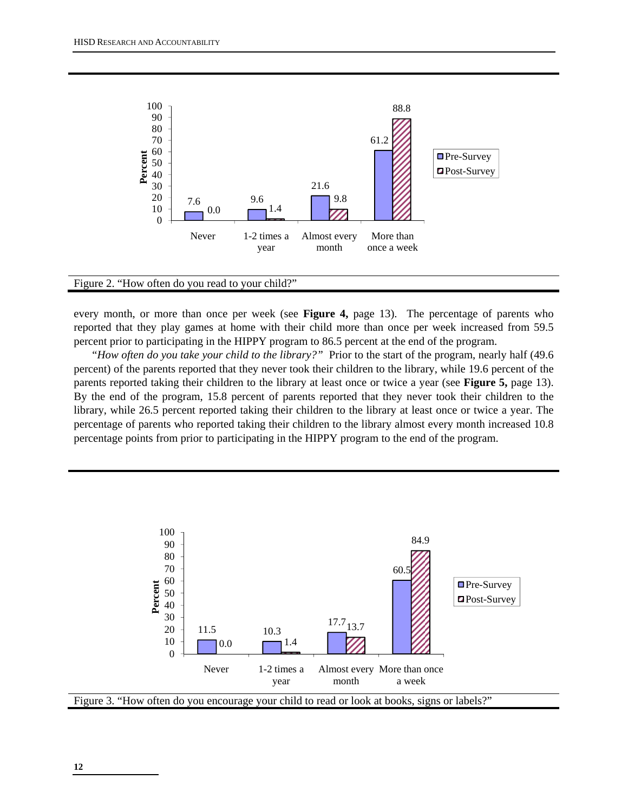

#### Figure 2. "How often do you read to your child?"

every month, or more than once per week (see **Figure 4,** page 13). The percentage of parents who reported that they play games at home with their child more than once per week increased from 59.5 percent prior to participating in the HIPPY program to 86.5 percent at the end of the program.

 "*How often do you take your child to the library?"*Prior to the start of the program, nearly half (49.6 percent) of the parents reported that they never took their children to the library, while 19.6 percent of the parents reported taking their children to the library at least once or twice a year (see **Figure 5,** page 13). By the end of the program, 15.8 percent of parents reported that they never took their children to the library, while 26.5 percent reported taking their children to the library at least once or twice a year. The percentage of parents who reported taking their children to the library almost every month increased 10.8 percentage points from prior to participating in the HIPPY program to the end of the program.

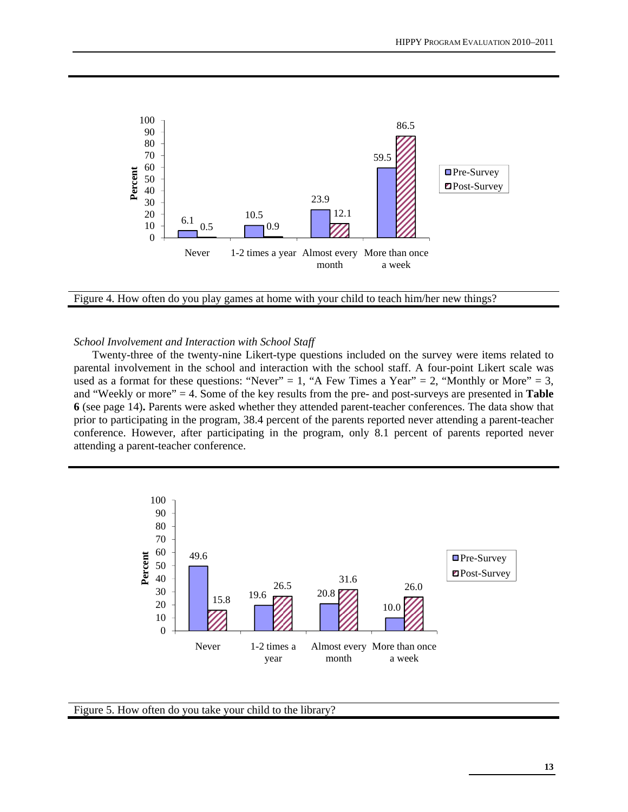

Figure 4. How often do you play games at home with your child to teach him/her new things?

#### *School Involvement and Interaction with School Staff*

Twenty-three of the twenty-nine Likert-type questions included on the survey were items related to parental involvement in the school and interaction with the school staff. A four-point Likert scale was used as a format for these questions: "Never" = 1, "A Few Times a Year" = 2, "Monthly or More" = 3, and "Weekly or more" = 4. Some of the key results from the pre- and post-surveys are presented in **Table 6** (see page 14)**.** Parents were asked whether they attended parent-teacher conferences. The data show that prior to participating in the program, 38.4 percent of the parents reported never attending a parent-teacher conference. However, after participating in the program, only 8.1 percent of parents reported never attending a parent-teacher conference.



Figure 5. How often do you take your child to the library?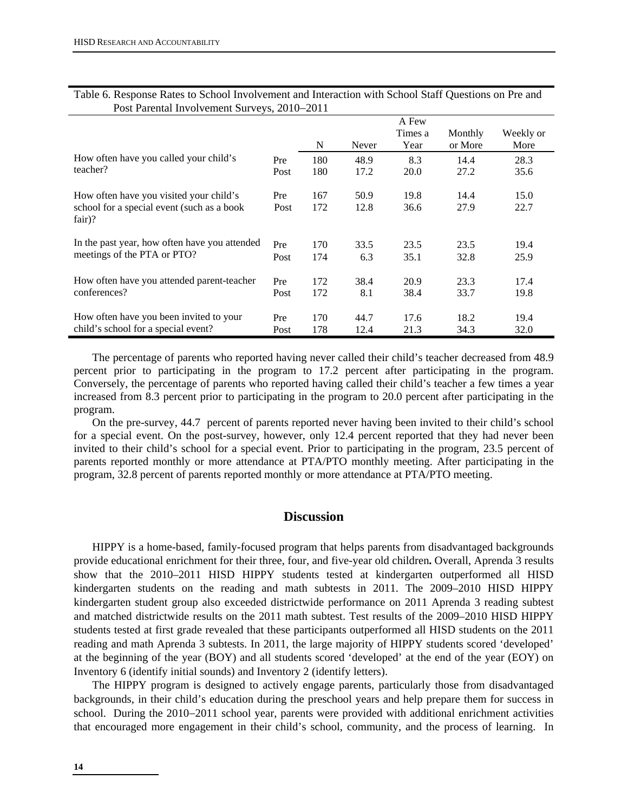|                                                        |      |     |       | A Few   |         |           |
|--------------------------------------------------------|------|-----|-------|---------|---------|-----------|
|                                                        |      |     |       | Times a | Monthly | Weekly or |
|                                                        |      | N   | Never | Year    | or More | More      |
| How often have you called your child's                 | Pre  | 180 | 48.9  | 8.3     | 14.4    | 28.3      |
| teacher?                                               | Post | 180 | 17.2  | 20.0    | 27.2    | 35.6      |
| How often have you visited your child's                | Pre  | 167 | 50.9  | 19.8    | 14.4    | 15.0      |
| school for a special event (such as a book<br>$fair$ ? | Post | 172 | 12.8  | 36.6    | 27.9    | 22.7      |
| In the past year, how often have you attended          | Pre  | 170 | 33.5  | 23.5    | 23.5    | 19.4      |
| meetings of the PTA or PTO?                            | Post | 174 | 6.3   | 35.1    | 32.8    | 25.9      |
| How often have you attended parent-teacher             | Pre  | 172 | 38.4  | 20.9    | 23.3    | 17.4      |
| conferences?                                           | Post | 172 | 8.1   | 38.4    | 33.7    | 19.8      |
|                                                        |      |     |       |         |         |           |
| How often have you been invited to your                | Pre  | 170 | 44.7  | 17.6    | 18.2    | 19.4      |
| child's school for a special event?                    | Post | 178 | 12.4  | 21.3    | 34.3    | 32.0      |

#### Table 6. Response Rates to School Involvement and Interaction with School Staff Questions on Pre and Post Parental Involvement Surveys, 2010−2011

The percentage of parents who reported having never called their child's teacher decreased from 48.9 percent prior to participating in the program to 17.2 percent after participating in the program. Conversely, the percentage of parents who reported having called their child's teacher a few times a year increased from 8.3 percent prior to participating in the program to 20.0 percent after participating in the program.

On the pre-survey, 44.7 percent of parents reported never having been invited to their child's school for a special event. On the post-survey, however, only 12.4 percent reported that they had never been invited to their child's school for a special event. Prior to participating in the program, 23.5 percent of parents reported monthly or more attendance at PTA/PTO monthly meeting. After participating in the program, 32.8 percent of parents reported monthly or more attendance at PTA/PTO meeting.

#### **Discussion**

HIPPY is a home-based, family-focused program that helps parents from disadvantaged backgrounds provide educational enrichment for their three, four, and five-year old children**.** Overall, Aprenda 3 results show that the 2010–2011 HISD HIPPY students tested at kindergarten outperformed all HISD kindergarten students on the reading and math subtests in 2011. The 2009–2010 HISD HIPPY kindergarten student group also exceeded districtwide performance on 2011 Aprenda 3 reading subtest and matched districtwide results on the 2011 math subtest. Test results of the 2009–2010 HISD HIPPY students tested at first grade revealed that these participants outperformed all HISD students on the 2011 reading and math Aprenda 3 subtests. In 2011, the large majority of HIPPY students scored 'developed' at the beginning of the year (BOY) and all students scored 'developed' at the end of the year (EOY) on Inventory 6 (identify initial sounds) and Inventory 2 (identify letters).

The HIPPY program is designed to actively engage parents, particularly those from disadvantaged backgrounds, in their child's education during the preschool years and help prepare them for success in school. During the 2010−2011 school year, parents were provided with additional enrichment activities that encouraged more engagement in their child's school, community, and the process of learning. In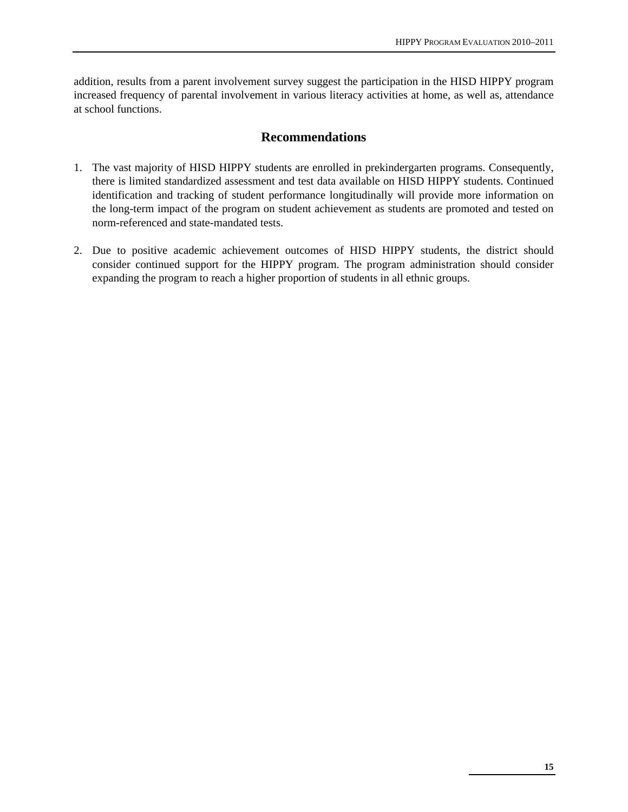addition, results from a parent involvement survey suggest the participation in the HISD HIPPY program increased frequency of parental involvement in various literacy activities at home, as well as, attendance at school functions.

# **Recommendations**

- 1. The vast majority of HISD HIPPY students are enrolled in prekindergarten programs. Consequently, there is limited standardized assessment and test data available on HISD HIPPY students. Continued identification and tracking of student performance longitudinally will provide more information on the long-term impact of the program on student achievement as students are promoted and tested on norm-referenced and state-mandated tests.
- 2. Due to positive academic achievement outcomes of HISD HIPPY students, the district should consider continued support for the HIPPY program. The program administration should consider expanding the program to reach a higher proportion of students in all ethnic groups.